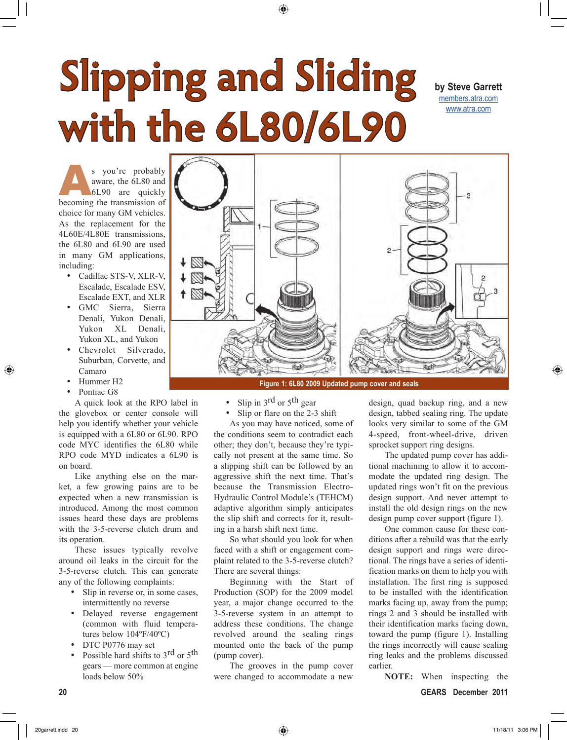## **Slipping and Sliding with the 6L80/6L90**

**by Steve Garrett** members.atra.com www.atra.com

S you're probably<br>
aware, the 6L80 and<br>
6L90 are quickly<br>
becoming the transmission of aware, the 6L80 and 6L90 are quickly choice for many GM vehicles. As the replacement for the 4L60E/4L80E transmissions, the 6L80 and 6L90 are used in many GM applications, including:

- Cadillac STS-V, XLR-V, Escalade, Escalade ESV, Escalade EXT, and XLR
- • GMC Sierra, Sierra Denali, Yukon Denali, Yukon XL Denali, Yukon XL, and Yukon
- Chevrolet Silverado, Suburban, Corvette, and Camaro
- Hummer H<sub>2</sub>
- Pontiac G8

A quick look at the RPO label in the glovebox or center console will help you identify whether your vehicle is equipped with a 6L80 or 6L90. RPO code MYC identifies the 6L80 while RPO code MYD indicates a 6L90 is on board.

Like anything else on the market, a few growing pains are to be expected when a new transmission is introduced. Among the most common issues heard these days are problems with the 3-5-reverse clutch drum and its operation.

These issues typically revolve around oil leaks in the circuit for the 3-5-reverse clutch. This can generate any of the following complaints:

- Slip in reverse or, in some cases, intermittently no reverse
- • Delayed reverse engagement (common with fluid temperatures below 104ºF/40ºC)
- DTC P0776 may set
- Possible hard shifts to 3rd or 5<sup>th</sup> gears — more common at engine loads below 50%



- Slip in  $3^{rd}$  or  $5^{th}$  gear
- Slip or flare on the 2-3 shift

As you may have noticed, some of the conditions seem to contradict each other; they don't, because they're typically not present at the same time. So a slipping shift can be followed by an aggressive shift the next time. That's because the Transmission Electro-Hydraulic Control Module's (TEHCM) adaptive algorithm simply anticipates the slip shift and corrects for it, resulting in a harsh shift next time.

So what should you look for when faced with a shift or engagement complaint related to the 3-5-reverse clutch? There are several things:

Beginning with the Start of Production (SOP) for the 2009 model year, a major change occurred to the 3-5-reverse system in an attempt to address these conditions. The change revolved around the sealing rings mounted onto the back of the pump (pump cover).

The grooves in the pump cover were changed to accommodate a new

design, quad backup ring, and a new design, tabbed sealing ring. The update looks very similar to some of the GM 4-speed, front-wheel-drive, driven sprocket support ring designs.

The updated pump cover has additional machining to allow it to accommodate the updated ring design. The updated rings won't fit on the previous design support. And never attempt to install the old design rings on the new design pump cover support (figure 1).

One common cause for these conditions after a rebuild was that the early design support and rings were directional. The rings have a series of identification marks on them to help you with installation. The first ring is supposed to be installed with the identification marks facing up, away from the pump; rings 2 and 3 should be installed with their identification marks facing down, toward the pump (figure 1). Installing the rings incorrectly will cause sealing ring leaks and the problems discussed earlier.

**NOTE:** When inspecting the